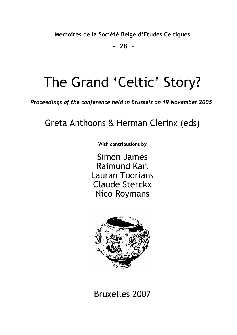**Mémoires de la Société Belge d'Etudes Celtiques** 

 **- 28 -** 

# The Grand 'Celtic' Story?

*Proceedings of the conference held in Brussels on 19 November 2005* 

# Greta Anthoons & Herman Clerinx (eds)

**With contributions by** 

Simon James Raimund Karl Lauran Toorians Claude Sterckx Nico Roymans



Bruxelles 2007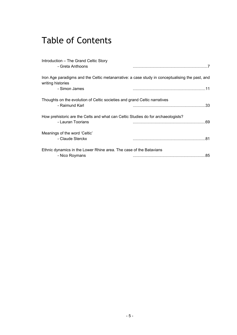# Table of Contents

| Introduction - The Grand Celtic Story<br>- Greta Anthoons                                             |                                                                                                |
|-------------------------------------------------------------------------------------------------------|------------------------------------------------------------------------------------------------|
| writing histories<br>- Simon James                                                                    | Iron Age paradigms and the Celtic metanarrative: a case study in conceptualising the past, and |
| Thoughts on the evolution of Celtic societies and grand Celtic narratives<br>- Raimund Karl           |                                                                                                |
| How prehistoric are the Celts and what can Celtic Studies do for archaeologists?<br>- Lauran Toorians |                                                                                                |
| Meanings of the word 'Celtic'<br>- Claude Sterckx                                                     |                                                                                                |
| Ethnic dynamics in the Lower Rhine area. The case of the Batavians<br>- Nico Roymans                  |                                                                                                |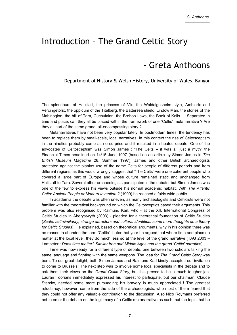### Introduction – The Grand Celtic Story

#### - Greta Anthoons

#### Department of History & Welsh History, University of Wales, Bangor

The splendours of Hallstatt, the princess of Vix, the Waldalgesheim style, Ambiorix and Vercingetorix, the oppidum of the Titelberg, the Battersea shield, Lindow Man, the stories of the Mabinogion, the hill of Tara, Cuchulainn, the Brehon Laws, the Book of Kells … Separated in time and place, can they all be placed within the framework of one "Celtic" metanarrative ? Are they all part of the same grand, all-encompassing story ?

Metanarratives have not been very popular lately. In postmodern times, the tendency has been to replace them by small-scale, local narratives. In this context the rise of Celtosceptism in the nineties probably came as no surprise and it resulted in a heated debate. One of the advocates of Celtosceptism was Simon James : "The Celts – it was all just a myth" the Financial Times headlined on 14/15 June 1997 (based on an article by Simon James in *The British Museum Magazine* 28, Summer 1997). James and other British archaeologists protested against the blanket use of the name Celts for people of different periods and from different regions, as this would wrongly suggest that "The Celts" were one coherent people who covered a large part of Europe and whose culture remained static and unchanged from Hallstatt to Tara. Several other archaeologists participated in the debate, but Simon James was one of the few to express his views outside his normal academic habitat. With *The Atlantic Celts: Ancient People or Modern Invention ?* (1999) he reached a fairly wide public.

In academia the debate was often uneven, as many archaeologists and Celticists were not familiar with the theoretical background on which the Celtosceptics based their arguments. This problem was also recognised by Raimund Karl, who - at the XII. International Congress of Celtic Studies in Aberystwyth (2003) - pleaded for a theoretical foundation of Celtic Studies (*Scale, self-similarity, strange attractors and cultural identities: some more thoughts on a theory for Celtic Studies*). He explained, based on theoretical arguments, why in his opinion there was no reason to abandon the term "Celtic". Later that year he argued that where time and place do matter at the local level, they do much less so at the level of the grand narrative (TAG 2003 – Lampeter : *Does time matter? Similar Iron and Middle Ages and the grand 'Celtic' narrative*).

Time was now ready for a different type of debate, one between two scholars talking the same language and fighting with the same weapons. The idea for *The Grand Celtic Story* was born. To our great delight, both Simon James and Raimund Karl kindly accepted our invitation to come to Brussels. The next step was to involve some local specialists in the debate and to ask them their views on the *Grand Celtic Story*, but this proved to be a much tougher job. Lauran Toorians immediately expressed his interest to participate, but our chairman, Claude Sterckx, needed some more pursuading; his bravery is much appreciated ! The greatest reluctancy, however, came from the side of the archaeologists, who most of them feared that they could not offer any valuable contribution to the discussion. Also Nico Roymans preferred not to enter the debate on the legitimacy of a Celtic metanarrative as such, but the topic that he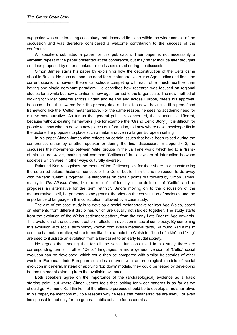suggested was an interesting case study that deserved its place within the wider context of the discussion and was therefore considered a welcome contribution to the success of the conference.

All speakers submitted a paper for this publication. Their paper is not necessarily a verbatim repeat of the paper presented at the conference, but may rather include later thoughts on ideas proposed by other speakers or on issues raised during the discussion.

Simon James starts his paper by explaining how the deconstruction of the Celts came about in Britain. He does not see the need for a metanarrative in Iron Age studies and finds the current situation of several theoretical schools competing with each other much healthier than having one single dominant paradigm. He describes how research was focused on regional studies for a while but how attention is now again turned to the larger scale. The new method of looking for wider patterns across Britain and Ireland and across Europe, meets his approval, because it is built upwards from the primary data and not top-down having to fit a predefined framework, like the "Celtic" metanarrative. For the same reason, he sees no academic need for a new metanarrative. As far as the general public is concerned, the situation is different, because without existing frameworks (like for example the "Grand Celtic Story"), it is difficult for people to know what to do with new pieces of information, to know where new knowledge fits in the picture. He proposes to place such a metanarrative in a larger European setting.

In his paper Simon James also reflects on certain issues that have been raised during the conference, either by another speaker or during the final discussion. In appendix 3, he discusses the movements between 'elite' groups in the La Tène world which led to a "transethnic cultural *koine*, marking not common 'Celticness' but a system of interaction between societies which were in other ways culturally diverse".

Raimund Karl recognises the merits of the Celtosceptics for their share in deconstructing the so-called cultural-historical concept of the Celts, but for him this is no reason to do away with the term "Celtic" altogether. He elaborates on certain points put forward by Simon James, mainly in *The Atlantic Celts*, like the role of self-identity in the definition of "Celtic", and he proposes an alternative for the term "ethnic". Before moving on to the discussion of the metanarrative itself, he presents some general theories on the constitution of societies and the importance of language in this constitution, followed by a case study.

The aim of the case study is to develop a social metanarrative for Iron Age Wales, based on elements from different disciplines which are usually not studied together. The study starts from the evolution of the Welsh settlement pattern, from the early Late Bronze Age onwards. This evolution of the settlement pattern reflects an evolution in social complexity. By combining this evolution with social terminology known from Welsh medieval texts, Raimund Karl aims to construct a metanarrative, where terms like for example the Welsh for "head of a kin" and "king" are used to illustrate an evolution from a kin-based to an early feudal society.

He argues that, seeing that for all the social functions used in his study there are corresponding terms in other "Celtic" languages, a more general version of 'Celtic' social evolution can be developed, which could then be compared with similar trajectories of other western European Indo-European societies or even with anthropological models of social evolution in general. Instead of applying 'top down' models, they could be tested by developing bottom up models starting from the available evidence.

Both speakers agree on the importance of the (archaeological) evidence as a basic starting point, but where Simon James feels that looking for wider patterns is as far as we should go, Raimund Karl thinks that the ultimate purpose should be to develop a metanarrative. In his paper, he mentions multiple reasons why he feels that metanarratives are useful, or even indispensable, not only for the general public but also for academics.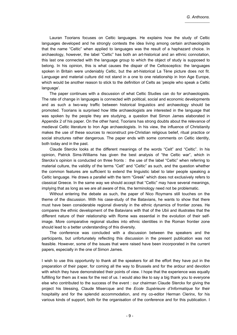Lauran Toorians focuses on Celtic languages. He explains how the study of Celtic languages developed and he strongly contests the idea living among certain archaeologists that the name "Celtic" when applied to languages was the result of a haphazard choice. In archaeology, however, the label "Celtic" has both an art-historical and an ethnic connotation, this last one connected with the language group to which the object of study is supposed to belong. In his opinion, this is what causes the dispair of the Celtosceptics: the languages spoken in Britain were undeniably Celtic, but the art-historical La Tène picture does not fit. Language and material culture did not stand in a one to one relationship in Iron Age Europe, which would be another reason to stick to the definition of Celts as 'people who speak a Celtic language'.

The paper continues with a discussion of what Celtic Studies can do for archaeologists. The rate of change in languages is connected with political, social and economic developments and as such a two-way traffic between historical linguistics and archaeology should be promoted. Toorians is surprised how little archaeologists are interested in the language that was spoken by the people they are studying, a question that Simon James elaborated in Appendix 2 of his paper. On the other hand, Toorians has strong doubts about the relevance of medieval Celtic literature to Iron Age archaeologists. In his view, the influence of Christianity makes the use of these sources to reconstruct pre-Christian religious belief, ritual practice or social structures rather dangerous. The paper ends with some comments on Celtic identity, both today and in the past.

Claude Sterckx looks at the different meanings of the words "Celt" and "Celtic". In his opinion, Patrick Sims-Williams has given the best analysis of "the Celtic war", which in Sterckx's opinion is conducted on three fronts : the use of the label "Celtic" when referring to material culture, the validity of the terms "Celt" and "Celtic" as such, and the question whether the common features are sufficient to extend the linguistic label to later people speaking a Celtic language. He draws a parallel with the term "Greek" which does not exclusively refers to classical Greece. In the same way we should accept that "Celtic" may have several meanings, implying that as long as we are all aware of this, the terminology need not be problematic.

Without entering the debate as such, the paper of Nico Roymans still touches on the theme of the discussion. With his case-study of the Batavians, he wants to show that there must have been considerable regional diversity in the ethnic dynamics of frontier zones. He compares the ethnic development of the Batavians with that of the Ubii and illustrates that the different nature of their relationship with Rome was essential in the evolution of their selfimage. More comparative regional studies into ethnic identities in the Roman frontier zone should lead to a better understanding of this diversity.

The conference was concluded with a discussion between the speakers and the participants, but unfortunately reflecting this discussion in the present publication was not feasible. However, some of the issues that were raised have been incorporated in the current papers, especially in the one of Simon James.

I wish to use this opportunity to thank all the speakers for all the effort they have put in the preparation of their paper, for coming all the way to Brussels and for the ardour and devotion with which they have demonstrated their points of view. I hope that the experience was equally fulfilling for them as it was for the rest of us. I would also like to say a big thank you to everyone else who contributed to the success of the event : our chairman Claude Sterckx for giving the project his blessing, Claude Misercque and the *Ecole Supérieure d'Informatique* for their hospitality and for the splendid accommodation, and my co-editor Herman Clerinx, for his various kinds of support, both for the organisation of the conference and for this publication. I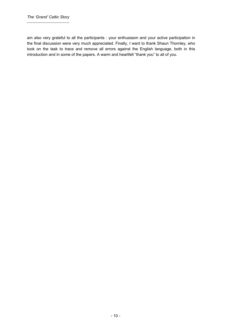am also very grateful to all the participants : your enthusiasm and your active participation in the final discussion were very much appreciated. Finally, I want to thank Shaun Thornley, who took on the task to trace and remove all errors against the English language, both in this introduction and in some of the papers. A warm and heartfelt "thank you" to all of you.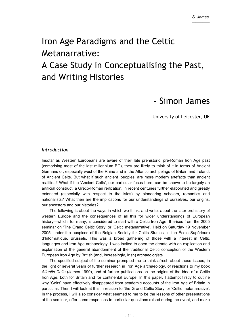# Iron Age Paradigms and the Celtic Metanarrative: A Case Study in Conceptualising the Past, and Writing Histories

### - Simon James

University of Leicester, UK

#### *Introduction*

Insofar as Western Europeans are aware of their late prehistoric, pre-Roman Iron Age past (comprising most of the last millennium BC), they are likely to think of it in terms of Ancient Germans or, especially west of the Rhine and in the Atlantic archipelago of Britain and Ireland, of Ancient Celts. But what if such ancient 'peoples' are more modern artefacts than ancient realities? What if the 'Ancient Celts', our particular focus here, can be shown to be largely an artificial construct, a Greco-Roman reification, in recent centuries further elaborated and greatly extended (especially with respect to the isles) by pioneering scholars, romantics and nationalists? What then are the implications for our understandings of ourselves, our origins, our ancestors and our histories?

The following is about the ways in which we think, and write, about the later prehistory of western Europe and the consequences of all this for wider understandings of European history—which, for many, is considered to start with a Celtic Iron Age. It arises from the 2005 seminar on 'The Grand Celtic Story' or 'Celtic metanarrative', Held on Saturday 19 November 2005, under the auspices of the Belgian Society for Celtic Studies, in the École Supérieure d'Informatique, Brussels. This was a broad gathering of those with a interest in Celtic languages and Iron Age archaeology. I was invited to open the debate with an explication and explanation of the general abandonment of the traditional Celtic conception of the Western European Iron Age by British (and, increasingly, Irish) archaeologists.

The specified subject of the seminar prompted me to think afresh about these issues, in the light of several years of further research in Iron Age archaeology, of reactions to my book *Atlantic Celts* (James 1999), and of further publications on the origins of the idea of a Celtic Iron Age, both for Britain and for continental Europe. In this paper, I attempt firstly to outline why 'Celts' have effectively disappeared from academic accounts of the Iron Age of Britain in particular. Then I will look at this in relation to 'the Grand Celtic Story' or 'Celtic metanarrative'. In the process, I will also consider what seemed to me to be the lessons of other presentations at the seminar, offer some responses to particular questions raised during the event, and make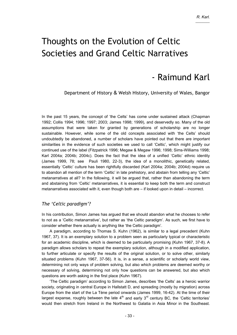## Thoughts on the Evolution of Celtic Societies and Grand Celtic Narratives

### - Raimund Karl

Department of History & Welsh History, University of Wales, Bangor

In the past 15 years, the concept of 'the Celts' has come under sustained attack (Chapman 1992; Collis 1994; 1996; 1997; 2003; James 1998; 1999), and deservedly so. Many of the old assumptions that were taken for granted by generations of scholarship are no longer sustainable. However, while some of the old concepts associated with 'the Celts' should undoubtedly be abandoned, a number of scholars have pointed out that there are important similarities in the evidence of such societies we used to call 'Celtic', which might justify our continued use of the label (Fitzpatrick 1996; Megaw & Megaw 1996; 1998; Sims-Williams 1998; Karl 2004a; 2004b; 2004c). Does the fact that the idea of a unified 'Celtic' ethnic identity (James 1999, 78; see Pauli 1980, 22-3), the idea of a monolithic, genetically related, essentially 'Celtic' culture has been rightfully discarded (Karl 2004a; 2004b; 2004d) require us to abandon all mention of the term 'Celtic' in late prehistory, and abstain from telling any 'Celtic' metanarratives at all? In the following, it will be argued that, rather than abandoning the term and abstaining from 'Celtic' metanarratives, it is essential to keep both the term and construct metanarratives associated with it, even though both are – if looked upon in detail – incorrect.

#### *The 'Celtic paradigm'?*

In his contribution, Simon James has argued that we should abandon what he chooses to refer to not as a 'Celtic metanarrative', but rather as 'the Celtic paradigm'. As such, we first have to consider whether there actually is anything like 'the Celtic paradigm'.

A paradigm, according to Thomas S. Kuhn (1962), is similar to a legal precedent (Kuhn 1967, 37). It is an exemplary solution to a problem seen as particularly typical or characteristic for an academic discipline, which is deemed to be particularly promising (Kuhn 1967, 37-8). A paradigm allows scholars to repeat the exemplary solution, although in a modified application, to further articulate or specify the results of the original solution, or to solve other, similarly situated problems (Kuhn 1967, 37-56). It is, in a sense, a scientific or scholarly world view, determining not only ways of problem solving, but also which problems are deemed worthy or necessary of solving, determining not only how questions can be answered, but also which questions are worth asking in the first place (Kuhn 1967).

'The Celtic paradigm' according to Simon James, describes 'the Celts' as a heroic warrior society, originating in central Europe in Hallstatt D, and spreading (mostly by migration) across Europe from the start of the La Tène period onwards (James 1999, 16-42). At the time of their largest expanse, roughly between the late  $4<sup>th</sup>$  and early  $3<sup>rd</sup>$  century BC, the 'Celtic territories' would then stretch from Ireland in the Northwest to Galatia in Asia Minor in the Southeast.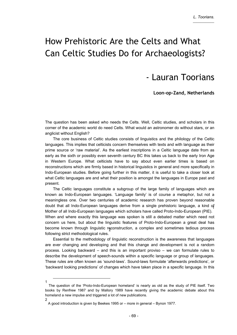# How Prehistoric Are the Celts and What Can Celtic Studies Do for Archaeologists?

### - Lauran Toorians

**Loon-op-Zand, Netherlands** 

The question has been asked who needs the Celts. Well, Celtic studies, and scholars in this corner of the academic world do need Celts. What would an astronomer do without stars, or an anglicist without English?

The core business of Celtic studies consists of linguistics and the philology of the Celtic languages. This implies that celticists concern themselves with texts and with language as their prime source or 'raw material'. As the earliest inscriptions in a Celtic language date from as early as the sixth or possibly even seventh century BC this takes us back to the early Iron Age in Western Europe. What celticists have to say about even earlier times is based on reconstructions which are firmly based in historical linguistics in general and more specifically in Indo-European studies. Before going further in this matter, it is useful to take a closer look at what Celtic languages are and what their position is amongst the languages in Europe past and present.

The Celtic languages constitute a subgroup of the large family of languages which are known as Indo-European languages. 'Language family' is of course a metaphor, but not a meaningless one. Over two centuries of academic research has proven beyond reasonable doubt that all Indo-European languages derive from a single prehistoric language, a kind of 1 Mother of all Indo-European languages which scholars have called Proto-Indo-European (PIE). When and where exactly this language was spoken is still a debated matter which need not concern us here, but about the linguistic features of Proto-Indo-European a great deal has become known through linguistic reconstruction, a complex and sometimes tedious process following strict methodological rules.

Essential to the methodology of linguistic reconstruction is the awareness that languages are ever changing and developing and that this change and development is not a random process. Looking backward – and this is an important proviso – we can formulate rules to describe the development of speech-sounds within a specific language or group of languages. These rules are often known as 'sound-laws'. Sound-laws formulate 'afterwards predictions', or 'backward looking predictions' of changes which have taken place in a specific language. In this

2

 $1$ <sup>-</sup> The question of the 'Proto-Indo-European homeland' is nearly as old as the study of PIE itself. Two books by Renfrew 1987 and by Mallory 1989 have recently giving the academic debate about this homeland a new impulse and triggered a lot of new publications.

A good introduction is given by Beekes 1995 or – more in general – Bynon 1977.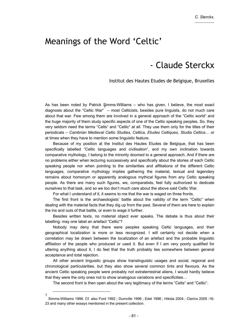#### Meanings of the Word 'Celtic'

### - Claude Sterckx

#### Institut des Hautes Etudes de Belgique, Bruxelles

As has been noted by Patrick Simms-Williams – who has given, I believe, the most exact diagnosis about the "Celtic War" – most Celticists, besides pure linguists, do not much care about that war. Few among them are involved in a general approach of the "Celtic world" and the huge majority of them study specific aspects of one of the Celtic speaking peoples. So, they very seldom need the terms "Celts" and "Celtic" at all. They use them only for the titles of their periodicals – *Cambrian Medieval Celtic Studies, Celtica, Etudes Celtiques, Studia Celtica…* or at times when they have to mention some linguistic feature.

Because of my position at the Institut des Hautes Etudes de Belgique, that has been specifically labelled "Celtic languages and civilisation", and my own inclination towards comparative mythology, I belong to the minority doomed to a general approach. And if there are no problems either when lecturing successively and specifically about the stories of each Celtic speaking people nor when pointing to the similarities and affiliations of the different Celtic languages, comparative mythology implies gathering the material, textual and legendary remains about homonym or apparently analogous mythical figures from any Celtic speaking people. As there are many such figures, we, comparatists, feel fully authorized to dedicate ourselves to that task, and so we too don't much care about the above said Celtic War.

For what I understand of it, it seems to me that the war is waged on three fronts.

The first front is the archaeologists' battle about the validity of the term "Celtic" when dealing with the material facts that they dig up from the past. Several of them are here to explain the ins and outs of that battle, or even to wage it further.

Besides written texts, no material object ever speaks. The debate is thus about their labelling: may one label an artefact "Celtic"?

Nobody may deny that there were peoples speaking Celtic languages, and their geographical localization is more or less recognized. I will certainly not decide when a correlation may be drawn between the localization of an artefact and the probable linguistic affiliation of the people who produced or used it. But even if I am very poorly qualified for uttering anything about it, I do feel that the truth probably lies somewhere between general acceptance and total rejection.

All other ancient linguistic groups show translinguistic usages and social, regional and chronological particularities, but they also show several common tints and flavours. As the ancient Celtic speaking people were probably not extraterrestrial aliens, I would hardly believe that they were the only ones not to show analogous variations and specificities…

The second front is then open about the very legitimacy of the terms "Celts" and "Celtic".

 $1$ <sup>-</sup> Simms-Williams 1998. Cf. also Ford 1992 ; Dumville 1996 ; Edel 1996 ; Hikida 2004 ; Clerinx 2005 :16- 23 and many other essays mentioned in the present collection.